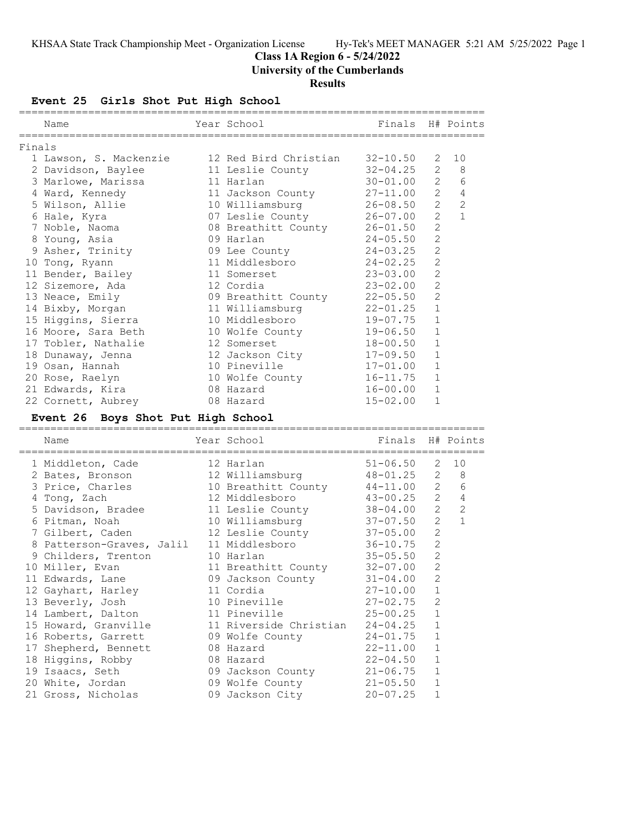# **Class 1A Region 6 - 5/24/2022**

**University of the Cumberlands**

# **Results**

**Event 25 Girls Shot Put High School**

|        | Name                   | Year School           | Finals H# Points |                |                |
|--------|------------------------|-----------------------|------------------|----------------|----------------|
| Finals |                        |                       |                  |                |                |
|        | 1 Lawson, S. Mackenzie | 12 Red Bird Christian | $32 - 10.50$     | 2              | 10             |
|        | 2 Davidson, Baylee     | 11 Leslie County      | $32 - 04.25$     | 2              | 8              |
|        | 3 Marlowe, Marissa     | 11 Harlan             | $30 - 01.00$     | 2              | 6              |
|        | 4 Ward, Kennedy        | 11 Jackson County     | $27 - 11.00$     | 2              | $\overline{4}$ |
|        | 5 Wilson, Allie        | 10 Williamsburg       | $26 - 08.50$     | $\overline{2}$ | $\overline{2}$ |
|        | 6 Hale, Kyra           | 07 Leslie County      | 26-07.00         | 2              | $\mathbf{1}$   |
|        | 7 Noble, Naoma         | 08 Breathitt County   | $26 - 01.50$     | $\overline{c}$ |                |
|        | 8 Young, Asia          | 09 Harlan             | $24 - 05.50$     | $\overline{2}$ |                |
|        | 9 Asher, Trinity       | 09 Lee County         | 24-03.25         | $\overline{2}$ |                |
|        | 10 Tong, Ryann         | 11 Middlesboro        | 24-02.25         | $\overline{2}$ |                |
|        | 11 Bender, Bailey      | 11 Somerset           | 23-03.00         | 2              |                |
|        | 12 Sizemore, Ada       | 12 Cordia             | $23 - 02.00$     | $\overline{c}$ |                |
|        | 13 Neace, Emily        | 09 Breathitt County   | $22 - 05.50$     | $\overline{2}$ |                |
|        | 14 Bixby, Morgan       | 11 Williamsburg       | 22-01.25         | $\mathbf{1}$   |                |
|        | 15 Higgins, Sierra     | 10 Middlesboro        | 19-07.75         | $\mathbf{1}$   |                |
|        | 16 Moore, Sara Beth    | 10 Wolfe County       | 19-06.50         | $\mathbf{1}$   |                |
|        | 17 Tobler, Nathalie    | 12 Somerset           | $18 - 00.50$     | $\mathbf{1}$   |                |
|        | 18 Dunaway, Jenna      | 12 Jackson City       | $17 - 09.50$     | $\mathbf{1}$   |                |
|        | 19 Osan, Hannah        | 10 Pineville          | $17 - 01.00$     | $\mathbf{1}$   |                |
|        | 20 Rose, Raelyn        | 10 Wolfe County       | $16 - 11.75$     | $\mathbf{1}$   |                |
|        | 21 Edwards, Kira       | 08 Hazard             | $16 - 00.00$     | $\mathbf{1}$   |                |
|        | 22 Cornett, Aubrey     | 08 Hazard             | $15 - 02.00$     | $\mathbf{1}$   |                |

# **Event 26 Boys Shot Put High School**

| Name                                                                                           | Year School<br>----------------- | Finals H# Points  |                |                |
|------------------------------------------------------------------------------------------------|----------------------------------|-------------------|----------------|----------------|
| 1 Middleton, Cade                                                                              | 12 Harlan                        | $51 - 06.50$ 2 10 |                |                |
|                                                                                                |                                  |                   |                | $2 \quad 8$    |
| 2 Bates, Bronson 12 Williamsburg 48-01.25 2<br>3 Price, Charles 10 Breathitt County 44-11.00 2 |                                  |                   |                | 6              |
| 4 Tong, Zach                                                                                   | 12 Middlesboro 43-00.25          |                   | $2^{\circ}$    | $\overline{4}$ |
| 5 Davidson, Bradee 11 Leslie County 38-04.00                                                   |                                  |                   | $2^{\circ}$    | 2              |
| 6 Pitman, Noah 10 Williamsburg 37-07.50                                                        |                                  |                   | $\overline{2}$ | $\mathbf{1}$   |
| 7 Gilbert, Caden 12 Leslie County 37-05.00                                                     |                                  |                   | 2              |                |
| 8 Patterson-Graves, Jalil                                                                      | 11 Middlesboro 36-10.75          |                   | 2              |                |
| 9 Childers, Trenton                                                                            | 10 Harlan                        | $35 - 05.50$      | $\mathbf{2}$   |                |
| 10 Miller, Evan                                                                                | 11 Breathitt County 32-07.00     |                   | $\overline{2}$ |                |
| 11 Edwards, Lane 69 Jackson County 31-04.00                                                    |                                  |                   | $\overline{2}$ |                |
| 12 Gayhart, Harley                                                                             | $27-10.00$<br>11 Cordia          |                   | $\mathbf{1}$   |                |
| 13 Beverly, Josh                                                                               | 10 Pineville                     | $27 - 02.75$      | $\overline{2}$ |                |
| 14 Lambert, Dalton 11 Pineville 25-00.25                                                       |                                  |                   | $\mathbf{1}$   |                |
| 15 Howard, Granville 11 Riverside Christian 24-04.25                                           |                                  |                   | $\mathbf{1}$   |                |
| 16 Roberts, Garrett 09 Wolfe County                                                            |                                  | $24 - 01.75$      | $\mathbf 1$    |                |
| 17 Shepherd, Bennett                                                                           | 08 Hazard 22-11.00               |                   | $\mathbf{1}$   |                |
|                                                                                                | 08 Hazard                        | $22 - 04.50$      | $\mathbf{1}$   |                |
| 18 Higgins, Robby<br>19 Isaacs, Seth                                                           | 09 Jackson County                | $21 - 06.75$      | $\mathbf{1}$   |                |
| 20 White, Jordan                                                                               | 09 Wolfe County 21-05.50         |                   | $\mathbf{1}$   |                |
| 21 Gross, Nicholas                                                                             | 09 Jackson City                  | 20-07.25          |                |                |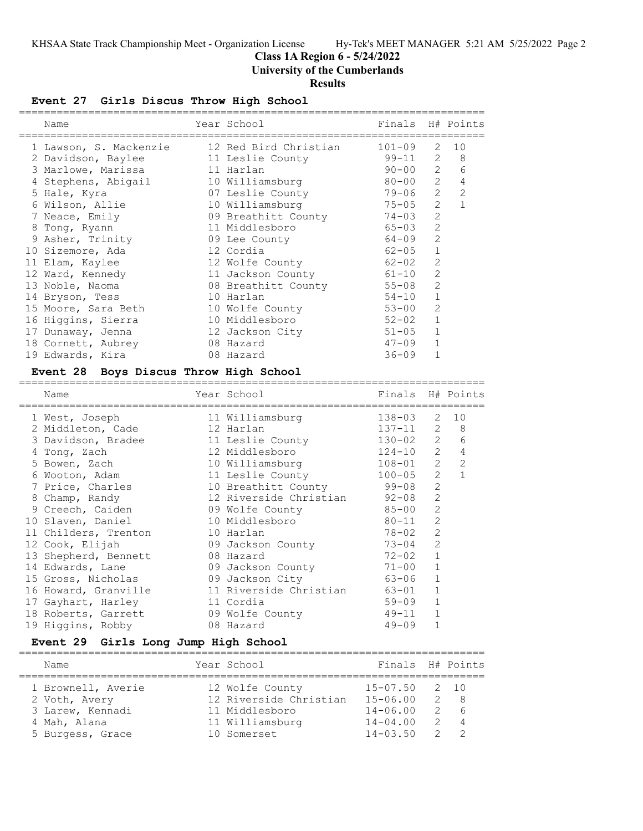# **Class 1A Region 6 - 5/24/2022**

**University of the Cumberlands**

### **Results**

# **Event 27 Girls Discus Throw High School**

| Name                   | Year School           | Finals H# Points |                |                |
|------------------------|-----------------------|------------------|----------------|----------------|
| 1 Lawson, S. Mackenzie | 12 Red Bird Christian | $101 - 09$       | 2              | 10             |
| 2 Davidson, Baylee     | 11 Leslie County      | $99 - 11$ 2      |                | - 8            |
| 3 Marlowe, Marissa     | 11 Harlan             | $90 - 00$ 2      |                | 6              |
| 4 Stephens, Abigail    | 10 Williamsburg       | $80 - 00$        | $\mathcal{L}$  | 4              |
| 5 Hale, Kyra           | 07 Leslie County      | 79-06            | $\overline{2}$ | $\overline{2}$ |
| 6 Wilson, Allie        | 10 Williamsburg       | 75-05            | $\mathcal{L}$  | $\mathbf{1}$   |
| 7 Neace, Emily         | 09 Breathitt County   | $74 - 03$        | $\overline{2}$ |                |
| 8 Tong, Ryann          | 11 Middlesboro        | 65-03            | 2              |                |
| 9 Asher, Trinity       | 09 Lee County         | 64-09            | 2              |                |
| 10 Sizemore, Ada       | 12 Cordia             | $62 - 05$        | $\mathbf{1}$   |                |
| 11 Elam, Kaylee        | 12 Wolfe County       | 62-02            | $\overline{2}$ |                |
| 12 Ward, Kennedy       | 11 Jackson County     | 61-10            | $\overline{2}$ |                |
| 13 Noble, Naoma        | 08 Breathitt County   | 55-08            | 2              |                |
| 14 Bryson, Tess        | 10 Harlan             | $54 - 10$        | $\mathbf{1}$   |                |
| 15 Moore, Sara Beth    | 10 Wolfe County       | $53 - 00$        | 2              |                |
| 16 Higgins, Sierra     | 10 Middlesboro        | $52 - 02$        | $\mathbf{1}$   |                |
| 17 Dunaway, Jenna      | 12 Jackson City       | $51 - 05$        | $\mathbf{1}$   |                |
| 18 Cornett, Aubrey     | 08 Hazard             | $47 - 09$        | $\mathbf{1}$   |                |
| 19 Edwards, Kira       | 08 Hazard             | $36 - 09$        |                |                |
|                        |                       |                  |                |                |

# **Event 28 Boys Discus Throw High School**

| Name                 | Year School and the School | Finals H# Points |                |                |
|----------------------|----------------------------|------------------|----------------|----------------|
| 1 West, Joseph       | 11 Williamsburg            | 138-03           | 2              | 10             |
| 2 Middleton, Cade    | 12 Harlan                  | $137 - 11$       | 2              | 8              |
| 3 Davidson, Bradee   | 11 Leslie County           | $130 - 02$ 2     |                | 6              |
| 4 Tong, Zach         | 12 Middlesboro             | $124 - 10$       | 2              | $\overline{4}$ |
| 5 Bowen, Zach        | 10 Williamsburg            | $108 - 01$       | 2              | $\mathcal{L}$  |
| 6 Wooton, Adam       | 11 Leslie County 100-05    |                  |                | $2 \quad 1$    |
| 7 Price, Charles     | 10 Breathitt County        | $99 - 08$        | 2              |                |
| 8 Champ, Randy       | 12 Riverside Christian     | $92 - 08$        | 2              |                |
| 9 Creech, Caiden     | 09 Wolfe County            | $85 - 00$        | 2              |                |
| 10 Slaven, Daniel    | 10 Middlesboro             | $80 - 11$        | 2              |                |
| 11 Childers, Trenton | 10 Harlan                  | $78 - 02$        | 2              |                |
| 12 Cook, Elijah      | 09 Jackson County          | $73 - 04$        | $\overline{2}$ |                |
| 13 Shepherd, Bennett | 08 Hazard                  | $72 - 02$        | $\mathbf{1}$   |                |
| 14 Edwards, Lane     | 09 Jackson County          | $71 - 00$        | $\mathbf{1}$   |                |
| 15 Gross, Nicholas   | 09 Jackson City            | 63-06            | $\mathbf{1}$   |                |
| 16 Howard, Granville | 11 Riverside Christian     | 63-01            | $\mathbf{1}$   |                |
| 17 Gayhart, Harley   | 11 Cordia                  | $59 - 09$        | $\mathbf{1}$   |                |
| 18 Roberts, Garrett  | 09 Wolfe County            | $49 - 11$        | $\mathbf{1}$   |                |
| 19 Higgins, Robby    | 08 Hazard                  | $49 - 09$        |                |                |

# **Event 29 Girls Long Jump High School**

| Name               | Year School            | Finals H# Points |                     |                |
|--------------------|------------------------|------------------|---------------------|----------------|
| 1 Brownell, Averie | 12 Wolfe County        | $15 - 07.50$     |                     | 2 10           |
| 2 Voth, Avery      | 12 Riverside Christian | $15 - 06.00$     |                     | 2 R            |
| 3 Larew, Kennadi   | 11 Middlesboro         | $14 - 06.00$     | $\mathcal{P} \quad$ | - 6            |
| 4 Mah, Alana       | 11 Williamsburg        | $14 - 04.00$     | 2                   | $\overline{4}$ |
| 5 Burgess, Grace   | 10 Somerset            | $14 - 03.50$     |                     |                |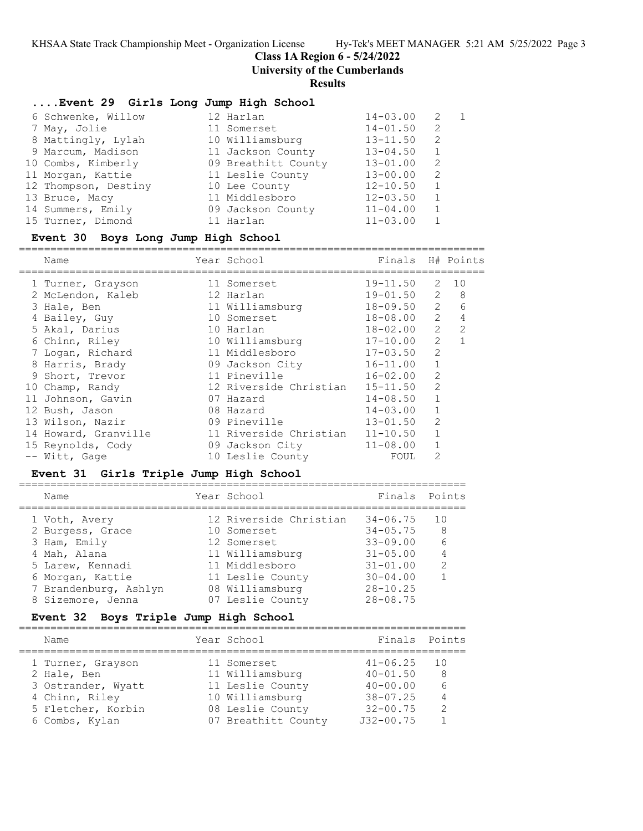**Class 1A Region 6 - 5/24/2022**

**University of the Cumberlands**

#### **Results**

#### **....Event 29 Girls Long Jump High School**

| 6 Schwenke, Willow   | 12 Harlan           | $14 - 03.00$ | -2 | $\overline{1}$ |
|----------------------|---------------------|--------------|----|----------------|
| 7 May, Jolie         | 11 Somerset         | $14 - 01.50$ | 2  |                |
| 8 Mattingly, Lylah   | 10 Williamsburg     | $13 - 11.50$ | 2  |                |
| 9 Marcum, Madison    | 11 Jackson County   | $13 - 04.50$ | 1  |                |
| 10 Combs, Kimberly   | 09 Breathitt County | $13 - 01.00$ | 2  |                |
| 11 Morgan, Kattie    | 11 Leslie County    | $13 - 00.00$ | 2  |                |
| 12 Thompson, Destiny | 10 Lee County       | $12 - 10.50$ | 1  |                |
| 13 Bruce, Macy       | 11 Middlesboro      | $12 - 03.50$ | 1  |                |
| 14 Summers, Emily    | 09 Jackson County   | $11 - 04.00$ | 1  |                |
| 15 Turner, Dimond    | 11 Harlan           | $11 - 03.00$ |    |                |

#### **Event 30 Boys Long Jump High School**

==========================================================================

| Name                 | Year School            | Finals         |                | H# Points      |
|----------------------|------------------------|----------------|----------------|----------------|
| 1 Turner, Grayson    | 11 Somerset            | 19-11.50       | 2              | 10             |
| 2 McLendon, Kaleb    | 12 Harlan              | $19 - 01.50$ 2 |                | 8              |
| 3 Hale, Ben          | 11 Williamsburg        | $18 - 09.50$ 2 |                | 6              |
| 4 Bailey, Guy        | 10 Somerset            | 18-08.00       | $\overline{2}$ | 4              |
| 5 Akal, Darius       | 10 Harlan              | $18 - 02.00$   | 2              | 2              |
| 6 Chinn, Riley       | 10 Williamsburg        | 17-10.00       | 2              | $\overline{1}$ |
| 7 Logan, Richard     | 11 Middlesboro         | $17 - 03.50$   | $\overline{2}$ |                |
| 8 Harris, Brady      | 09 Jackson City        | $16 - 11.00$   | $\mathbf{1}$   |                |
| 9 Short, Trevor      | 11 Pineville           | $16 - 02.00$   | 2              |                |
| 10 Champ, Randy      | 12 Riverside Christian | $15 - 11.50$   | $\mathcal{L}$  |                |
| 11 Johnson, Gavin    | 07 Hazard              | $14 - 08.50$   |                |                |
| 12 Bush, Jason       | 08 Hazard              | $14 - 03.00$   |                |                |
| 13 Wilson, Nazir     | 09 Pineville           | $13 - 01.50$   | 2              |                |
| 14 Howard, Granville | 11 Riverside Christian | $11 - 10.50$   |                |                |
| 15 Reynolds, Cody    | 09 Jackson City        | $11 - 08.00$   |                |                |
| -- Witt, Gage        | 10 Leslie County       | FOUL           | 2              |                |

#### **Event 31 Girls Triple Jump High School**

=======================================================================

| Name                  | Year School            | Finals Points |                |
|-----------------------|------------------------|---------------|----------------|
| 1 Voth, Avery         | 12 Riverside Christian | $34 - 06.75$  | 10             |
| 2 Burgess, Grace      | 10 Somerset            | $34 - 05.75$  | 8              |
| 3 Ham, Emily          | 12 Somerset            | $33 - 09.00$  | 6              |
| 4 Mah, Alana          | 11 Williamsburg        | $31 - 05.00$  | $\overline{4}$ |
| 5 Larew, Kennadi      | 11 Middlesboro         | $31 - 01.00$  | $\mathcal{L}$  |
| 6 Morgan, Kattie      | 11 Leslie County       | $30 - 04.00$  |                |
| 7 Brandenburg, Ashlyn | 08 Williamsburg        | $28 - 10.25$  |                |
| 8 Sizemore, Jenna     | 07 Leslie County       | $28 - 08.75$  |                |
|                       |                        |               |                |

#### **Event 32 Boys Triple Jump High School**

| Name               | Year School         | Finals Points |               |
|--------------------|---------------------|---------------|---------------|
| 1 Turner, Grayson  | 11 Somerset         | $41 - 06.25$  | 1 O           |
| 2 Hale, Ben        | 11 Williamsburg     | $40 - 01.50$  | 8             |
| 3 Ostrander, Wyatt | 11 Leslie County    | $40 - 00.00$  | 6             |
| 4 Chinn, Riley     | 10 Williamsburg     | $38 - 07.25$  | 4             |
| 5 Fletcher, Korbin | 08 Leslie County    | $32 - 00.75$  | $\mathcal{P}$ |
| 6 Combs, Kylan     | 07 Breathitt County | $J32 - 00.75$ |               |
|                    |                     |               |               |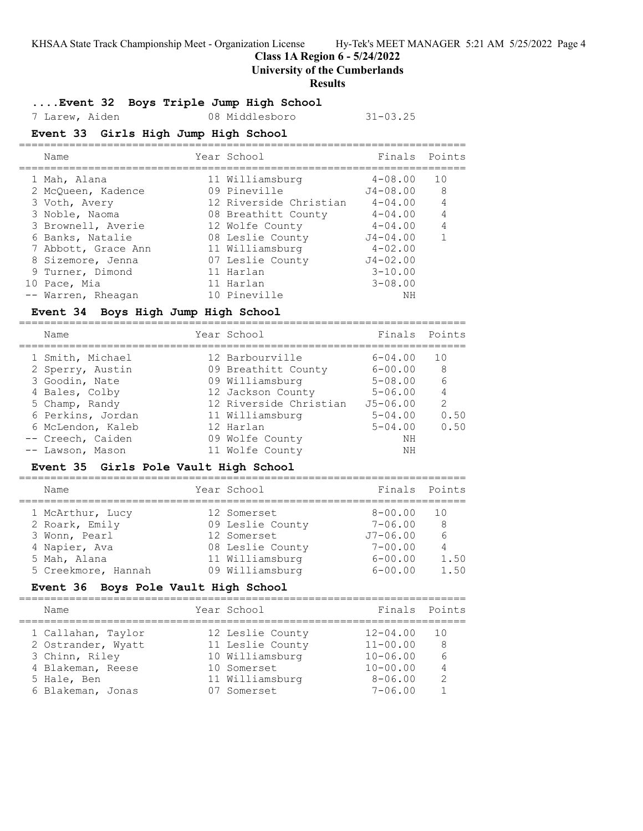**Class 1A Region 6 - 5/24/2022**

#### **University of the Cumberlands**

#### **Results**

#### **....Event 32 Boys Triple Jump High School**

7 Larew, Aiden 08 Middlesboro 31-03.25

#### **Event 33 Girls High Jump High School**

| Name                | Year School            | Finals Points |                |
|---------------------|------------------------|---------------|----------------|
| 1 Mah, Alana        | 11 Williamsburg        | $4 - 08.00$   | 10             |
| 2 McQueen, Kadence  | 09 Pineville           | $J4 - 08.00$  | - 8            |
| 3 Voth, Avery       | 12 Riverside Christian | $4 - 04.00$   | $\overline{4}$ |
| 3 Noble, Naoma      | 08 Breathitt County    | $4 - 04.00$   | $\overline{4}$ |
| 3 Brownell, Averie  | 12 Wolfe County        | $4 - 04.00$   | 4              |
| 6 Banks, Natalie    | 08 Leslie County       | $J4 - 04.00$  |                |
| 7 Abbott, Grace Ann | 11 Williamsburg        | $4 - 02.00$   |                |
| 8 Sizemore, Jenna   | 07 Leslie County       | $J4 - 02.00$  |                |
| 9 Turner, Dimond    | 11 Harlan              | $3 - 10.00$   |                |
| 10 Pace, Mia        | 11 Harlan              | $3 - 08.00$   |                |
| -- Warren, Rheagan  | 10 Pineville           | NΗ            |                |

#### **Event 34 Boys High Jump High School**

| Name                                                                                       | Year School                                                                                              | Finals Points                                                            |                                              |
|--------------------------------------------------------------------------------------------|----------------------------------------------------------------------------------------------------------|--------------------------------------------------------------------------|----------------------------------------------|
| 1 Smith, Michael<br>2 Sperry, Austin<br>3 Goodin, Nate<br>4 Bales, Colby<br>5 Champ, Randy | 12 Barbourville<br>09 Breathitt County<br>09 Williamsburg<br>12 Jackson County<br>12 Riverside Christian | $6 - 04.00$<br>$6 - 00.00$<br>$5 - 08.00$<br>$5 - 06.00$<br>$J5 - 06.00$ | 1 O<br>8<br>$6\overline{6}$<br>$\mathcal{L}$ |
| 6 Perkins, Jordan<br>6 McLendon, Kaleb<br>-- Creech, Caiden<br>-- Lawson, Mason            | 11 Williamsburg<br>12 Harlan<br>09 Wolfe County<br>11 Wolfe County                                       | $5 - 04.00$<br>$5 - 04.00$<br>NΗ<br>NΗ                                   | 0.50<br>0.50                                 |

# **Event 35 Girls Pole Vault High School**

| Name                | Year School      | Finals       | Points |
|---------------------|------------------|--------------|--------|
| 1 McArthur, Lucy    | 12 Somerset      | $8 - 00.00$  | 1 O    |
| 2 Roark, Emily      | 09 Leslie County | $7 - 06.00$  | 8      |
| 3 Wonn, Pearl       | 12 Somerset      | $J7 - 06.00$ | 6      |
| 4 Napier, Ava       | 08 Leslie County | $7 - 00.00$  | 4      |
| 5 Mah, Alana        | 11 Williamsburg  | $6 - 00.00$  | 1.50   |
| 5 Creekmore, Hannah | 09 Williamsburg  | $6 - 00.00$  | 1.50   |
|                     |                  |              |        |

#### **Event 36 Boys Pole Vault High School**

| Name               | Year School      | Finals Points |                |
|--------------------|------------------|---------------|----------------|
| 1 Callahan, Taylor | 12 Leslie County | $12 - 04.00$  | 1 O            |
| 2 Ostrander, Wyatt | 11 Leslie County | $11 - 00.00$  | 8              |
| 3 Chinn, Riley     | 10 Williamsburg  | $10 - 06.00$  | 6              |
| 4 Blakeman, Reese  | 10 Somerset      | $10 - 00.00$  | $\overline{4}$ |
| 5 Hale, Ben        | 11 Williamsburg  | $8 - 06.00$   | $\mathcal{D}$  |
| 6 Blakeman, Jonas  | 07 Somerset      | $7 - 06.00$   |                |
|                    |                  |               |                |